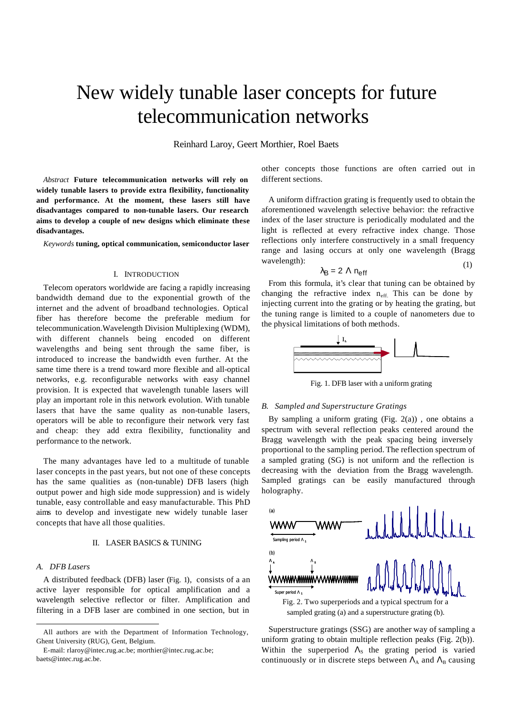# New widely tunable laser concepts for future telecommunication networks

Reinhard Laroy, Geert Morthier, Roel Baets

*Abstract* **Future telecommunication networks will rely on widely tunable lasers to provide extra flexibility, functionality and performance. At the moment, these lasers still have disadvantages compared to non-tunable lasers. Our research aims to develop a couple of new designs which eliminate these disadvantages.** 

*Keywords* **tuning, optical communication, semiconductor laser**

# I. INTRODUCTION

Telecom operators worldwide are facing a rapidly increasing bandwidth demand due to the exponential growth of the internet and the advent of broadband technologies. Optical fiber has therefore become the preferable medium for telecommunication.Wavelength Division Multiplexing (WDM), with different channels being encoded on different wavelengths and being sent through the same fiber, is introduced to increase the bandwidth even further. At the same time there is a trend toward more flexible and all-optical networks, e.g. reconfigurable networks with easy channel provision. It is expected that wavelength tunable lasers will play an important role in this network evolution. With tunable lasers that have the same quality as non-tunable lasers, operators will be able to reconfigure their network very fast and cheap: they add extra flexibility, functionality and performance to the network.

The many advantages have led to a multitude of tunable laser concepts in the past years, but not one of these concepts has the same qualities as (non-tunable) DFB lasers (high output power and high side mode suppression) and is widely tunable, easy controllable and easy manufacturable. This PhD aims to develop and investigate new widely tunable laser concepts that have all those qualities.

## II. LASER BASICS & TUNING

# *A. DFB Lasers*

l

A distributed feedback (DFB) laser (Fig. 1), consists of a an active layer responsible for optical amplification and a wavelength selective reflector or filter. Amplification and filtering in a DFB laser are combined in one section, but in

other concepts those functions are often carried out in different sections.

 $(1)$ A uniform diffraction grating is frequently used to obtain the aforementioned wavelength selective behavior: the refractive index of the laser structure is periodically modulated and the light is reflected at every refractive index change. Those reflections only interfere constructively in a small frequency range and lasing occurs at only one wavelength (Bragg wavelength):

$$
\lambda_{\rm B} = 2 \Lambda \, n_{\rm eff} \tag{2}
$$

From this formula, it's clear that tuning can be obtained by changing the refractive index  $n_{\text{eff}}$ . This can be done by injecting current into the grating or by heating the grating, but the tuning range is limited to a couple of nanometers due to the physical limitations of both methods.



Fig. 1. DFB laser with a uniform grating

# *B. Sampled and Superstructure Gratings*

By sampling a uniform grating  $(Fig. 2(a))$ , one obtains a spectrum with several reflection peaks centered around the Bragg wavelength with the peak spacing being inversely proportional to the sampling period. The reflection spectrum of a sampled grating (SG) is not uniform and the reflection is decreasing with the deviation from the Bragg wavelength. Sampled gratings can be easily manufactured through holography.



sampled grating (a) and a superstructure grating (b).

Superstructure gratings (SSG) are another way of sampling a uniform grating to obtain multiple reflection peaks (Fig. 2(b)). Within the superperiod  $\Lambda_s$  the grating period is varied continuously or in discrete steps between  $\Lambda_A$  and  $\Lambda_B$  causing

All authors are with the Department of Information Technology, Ghent University (RUG), Gent, Belgium.

E-mail: rlaroy@intec.rug.ac.be; morthier@intec.rug.ac.be; baets@intec.rug.ac.be.